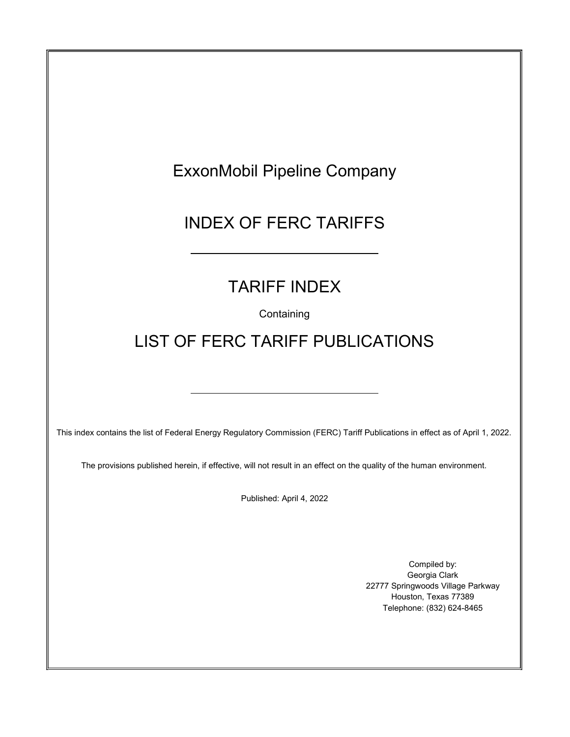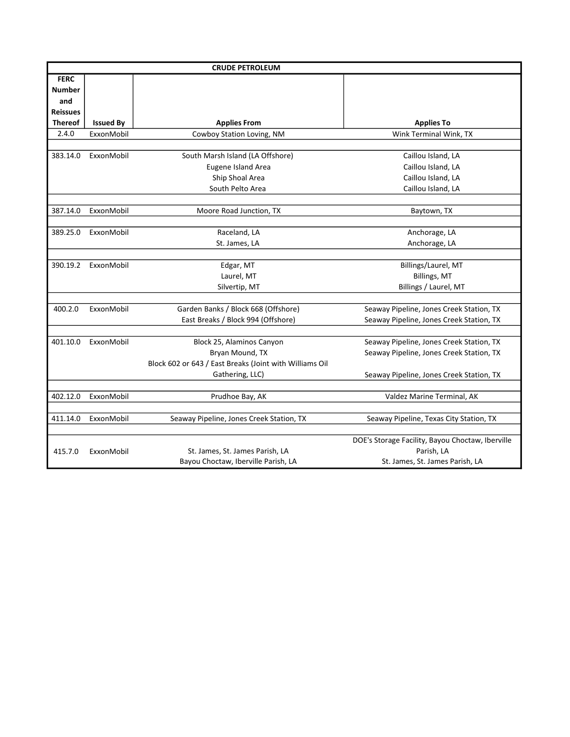| <b>CRUDE PETROLEUM</b> |                  |                                                         |                                                  |  |
|------------------------|------------------|---------------------------------------------------------|--------------------------------------------------|--|
| <b>FERC</b>            |                  |                                                         |                                                  |  |
| <b>Number</b>          |                  |                                                         |                                                  |  |
| and                    |                  |                                                         |                                                  |  |
| <b>Reissues</b>        |                  |                                                         |                                                  |  |
| <b>Thereof</b>         | <b>Issued By</b> | <b>Applies From</b>                                     | <b>Applies To</b>                                |  |
| 2.4.0                  | ExxonMobil       | Cowboy Station Loving, NM                               | Wink Terminal Wink, TX                           |  |
|                        |                  |                                                         |                                                  |  |
| 383.14.0               | ExxonMobil       | South Marsh Island (LA Offshore)                        | Caillou Island, LA                               |  |
|                        |                  | Eugene Island Area                                      | Caillou Island, LA                               |  |
|                        |                  | Ship Shoal Area                                         | Caillou Island, LA                               |  |
|                        |                  | South Pelto Area                                        | Caillou Island, LA                               |  |
|                        |                  |                                                         |                                                  |  |
| 387.14.0               | ExxonMobil       | Moore Road Junction, TX                                 | Baytown, TX                                      |  |
|                        |                  |                                                         |                                                  |  |
| 389.25.0               | ExxonMobil       | Raceland, LA                                            | Anchorage, LA                                    |  |
|                        |                  | St. James, LA                                           | Anchorage, LA                                    |  |
|                        |                  |                                                         |                                                  |  |
| 390.19.2               | ExxonMobil       | Edgar, MT                                               | Billings/Laurel, MT                              |  |
|                        |                  | Laurel, MT                                              | Billings, MT                                     |  |
|                        |                  | Silvertip, MT                                           | Billings / Laurel, MT                            |  |
|                        |                  |                                                         |                                                  |  |
| 400.2.0                | ExxonMobil       | Garden Banks / Block 668 (Offshore)                     | Seaway Pipeline, Jones Creek Station, TX         |  |
|                        |                  | East Breaks / Block 994 (Offshore)                      | Seaway Pipeline, Jones Creek Station, TX         |  |
|                        |                  |                                                         |                                                  |  |
| 401.10.0               | ExxonMobil       | Block 25, Alaminos Canyon                               | Seaway Pipeline, Jones Creek Station, TX         |  |
|                        |                  | Bryan Mound, TX                                         | Seaway Pipeline, Jones Creek Station, TX         |  |
|                        |                  | Block 602 or 643 / East Breaks (Joint with Williams Oil |                                                  |  |
|                        |                  | Gathering, LLC)                                         | Seaway Pipeline, Jones Creek Station, TX         |  |
|                        |                  |                                                         |                                                  |  |
| 402.12.0               | ExxonMobil       | Prudhoe Bay, AK                                         | Valdez Marine Terminal, AK                       |  |
|                        |                  |                                                         |                                                  |  |
| 411.14.0               | ExxonMobil       | Seaway Pipeline, Jones Creek Station, TX                | Seaway Pipeline, Texas City Station, TX          |  |
|                        |                  |                                                         |                                                  |  |
|                        |                  |                                                         | DOE's Storage Facility, Bayou Choctaw, Iberville |  |
| 415.7.0                | ExxonMobil       | St. James, St. James Parish, LA                         | Parish, LA                                       |  |
|                        |                  | Bayou Choctaw, Iberville Parish, LA                     | St. James, St. James Parish, LA                  |  |